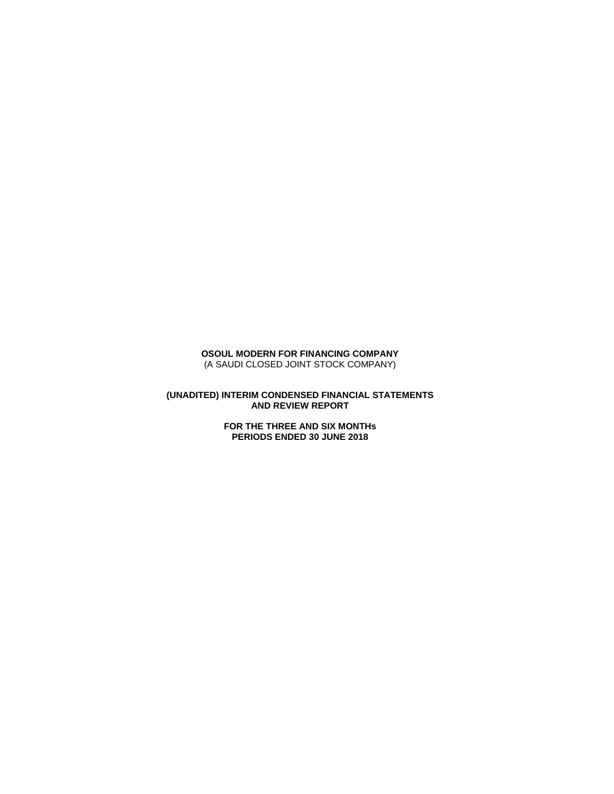## **OSOUL MODERN FOR FINANCING COMPANY** (A SAUDI CLOSED JOINT STOCK COMPANY)

### **(UNADITED) INTERIM CONDENSED FINANCIAL STATEMENTS AND REVIEW REPORT**

**FOR THE THREE AND SIX MONTHs PERIODS ENDED 30 JUNE 2018**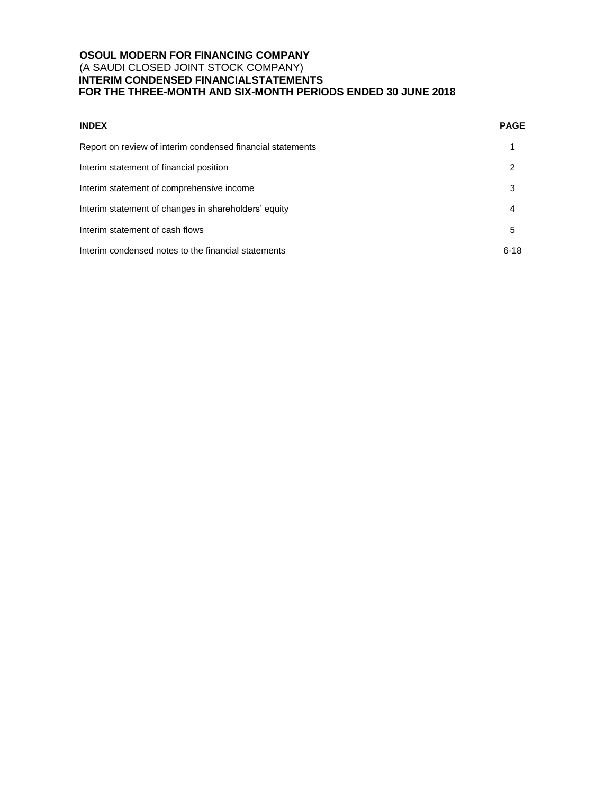# **OSOUL MODERN FOR FINANCING COMPANY** (A SAUDI CLOSED JOINT STOCK COMPANY) **INTERIM CONDENSED FINANCIALSTATEMENTS**

## **FOR THE THREE-MONTH AND SIX-MONTH PERIODS ENDED 30 JUNE 2018**

| <b>INDEX</b>                                               | <b>PAGE</b> |
|------------------------------------------------------------|-------------|
| Report on review of interim condensed financial statements |             |
| Interim statement of financial position                    | 2           |
| Interim statement of comprehensive income                  | 3           |
| Interim statement of changes in shareholders' equity       | 4           |
| Interim statement of cash flows                            | 5           |
| Interim condensed notes to the financial statements        | $6 - 18$    |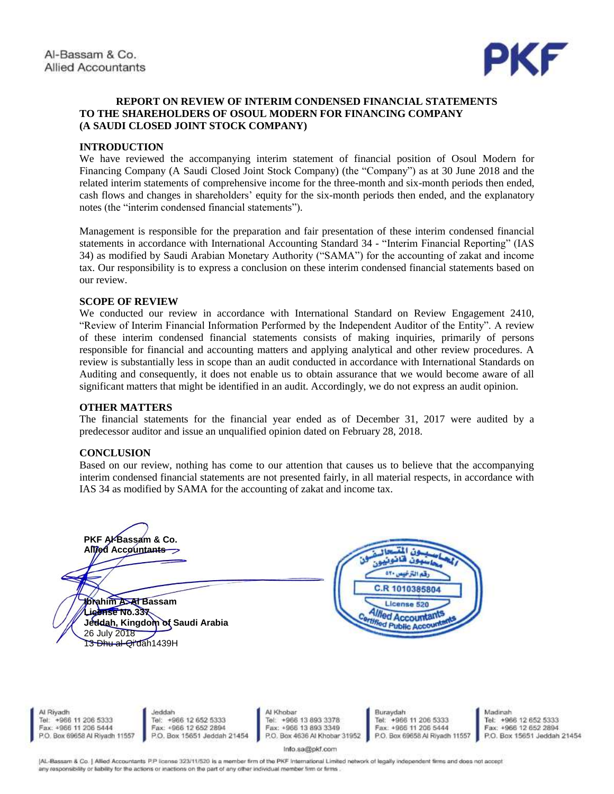

## **REPORT ON REVIEW OF INTERIM CONDENSED FINANCIAL STATEMENTS TO THE SHAREHOLDERS OF OSOUL MODERN FOR FINANCING COMPANY (A SAUDI CLOSED JOINT STOCK COMPANY)**

## **INTRODUCTION**

We have reviewed the accompanying interim statement of financial position of Osoul Modern for Financing Company (A Saudi Closed Joint Stock Company) (the "Company") as at 30 June 2018 and the related interim statements of comprehensive income for the three-month and six-month periods then ended, cash flows and changes in shareholders' equity for the six-month periods then ended, and the explanatory notes (the "interim condensed financial statements").

Management is responsible for the preparation and fair presentation of these interim condensed financial statements in accordance with International Accounting Standard 34 - "Interim Financial Reporting" (IAS 34) as modified by Saudi Arabian Monetary Authority ("SAMA") for the accounting of zakat and income tax. Our responsibility is to express a conclusion on these interim condensed financial statements based on our review.

## **SCOPE OF REVIEW**

We conducted our review in accordance with International Standard on Review Engagement 2410, "Review of Interim Financial Information Performed by the Independent Auditor of the Entity". A review of these interim condensed financial statements consists of making inquiries, primarily of persons responsible for financial and accounting matters and applying analytical and other review procedures. A review is substantially less in scope than an audit conducted in accordance with International Standards on Auditing and consequently, it does not enable us to obtain assurance that we would become aware of all significant matters that might be identified in an audit. Accordingly, we do not express an audit opinion.

## **OTHER MATTERS**

The financial statements for the financial year ended as of December 31, 2017 were audited by a predecessor auditor and issue an unqualified opinion dated on February 28, 2018.

## **CONCLUSION**

Based on our review, nothing has come to our attention that causes us to believe that the accompanying interim condensed financial statements are not presented fairly, in all material respects, in accordance with IAS 34 as modified by SAMA for the accounting of zakat and income tax.



AL-Bassam & Co. | Allied Accountants P.P license 323/11/520 is a member firm of the PKF International Limited network of legally independent firms and does not accept any responsibility or liability for the actions or inactions on the part of any other individual member firm or firms.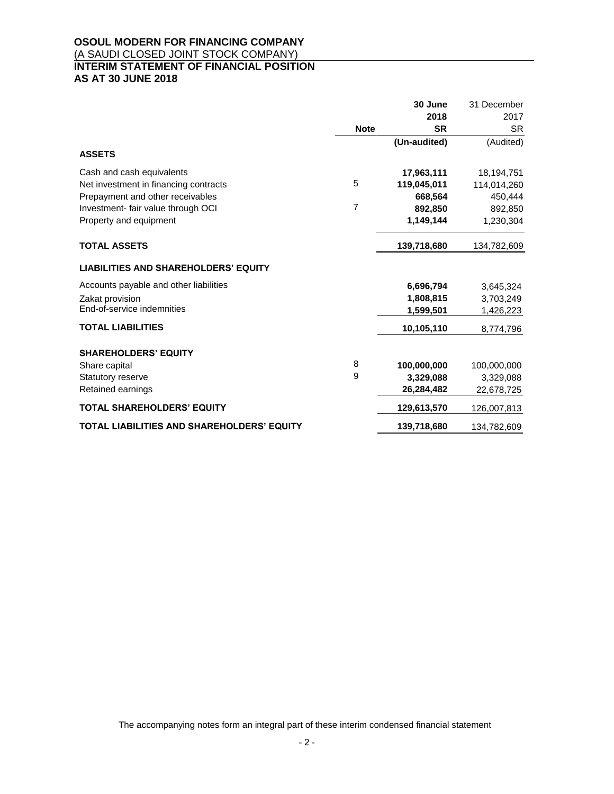# **OSOUL MODERN FOR FINANCING COMPANY** (A SAUDI CLOSED JOINT STOCK COMPANY) **INTERIM STATEMENT OF FINANCIAL POSITION AS AT 30 JUNE 2018**

|                                             |             | 30 June      | 31 December |
|---------------------------------------------|-------------|--------------|-------------|
|                                             |             | 2018         | 2017        |
|                                             | <b>Note</b> | <b>SR</b>    | <b>SR</b>   |
|                                             |             | (Un-audited) | (Audited)   |
| <b>ASSETS</b>                               |             |              |             |
| Cash and cash equivalents                   |             | 17,963,111   | 18,194,751  |
| Net investment in financing contracts       | 5           | 119,045,011  | 114,014,260 |
| Prepayment and other receivables            |             | 668,564      | 450,444     |
| Investment- fair value through OCI          | 7           | 892.850      | 892,850     |
| Property and equipment                      |             | 1,149,144    | 1,230,304   |
| <b>TOTAL ASSETS</b>                         |             | 139,718,680  | 134,782,609 |
| <b>LIABILITIES AND SHAREHOLDERS' EQUITY</b> |             |              |             |
| Accounts payable and other liabilities      |             | 6,696,794    | 3,645,324   |
| Zakat provision                             |             | 1,808,815    | 3,703,249   |
| End-of-service indemnities                  |             | 1,599,501    | 1,426,223   |
| <b>TOTAL LIABILITIES</b>                    |             | 10,105,110   | 8,774,796   |
| <b>SHAREHOLDERS' EQUITY</b>                 |             |              |             |
| Share capital                               | 8           | 100,000,000  | 100,000,000 |
| Statutory reserve                           | 9           | 3,329,088    | 3,329,088   |
| Retained earnings                           |             | 26,284,482   | 22,678,725  |
| <b>TOTAL SHAREHOLDERS' EQUITY</b>           |             | 129,613,570  | 126,007,813 |
| TOTAL LIABILITIES AND SHAREHOLDERS' EQUITY  |             | 139,718,680  | 134,782,609 |

The accompanying notes form an integral part of these interim condensed financial statement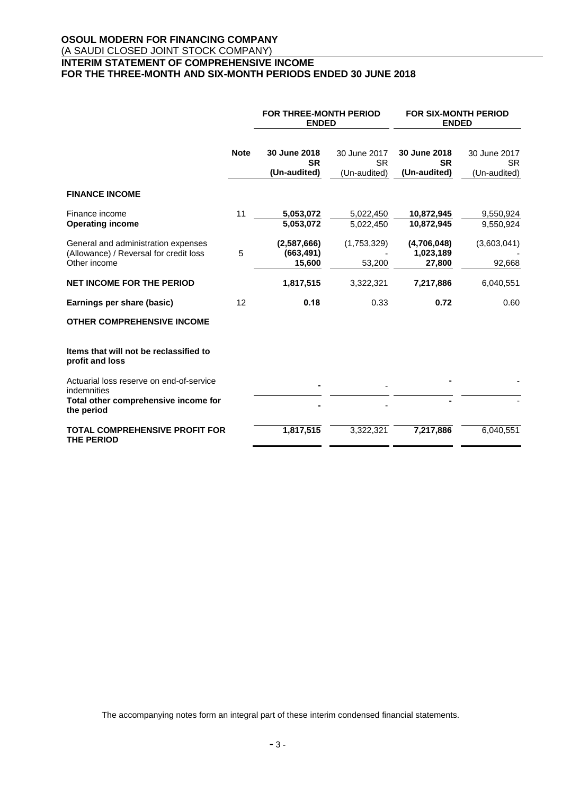# **OSOUL MODERN FOR FINANCING COMPANY** (A SAUDI CLOSED JOINT STOCK COMPANY) **INTERIM STATEMENT OF COMPREHENSIVE INCOME FOR THE THREE-MONTH AND SIX-MONTH PERIODS ENDED 30 JUNE 2018**

|                                                                                               | <b>FOR THREE-MONTH PERIOD</b><br><b>ENDED</b> |                                           | <b>FOR SIX-MONTH PERIOD</b><br><b>ENDED</b> |                                           |                                           |
|-----------------------------------------------------------------------------------------------|-----------------------------------------------|-------------------------------------------|---------------------------------------------|-------------------------------------------|-------------------------------------------|
|                                                                                               | <b>Note</b>                                   | 30 June 2018<br><b>SR</b><br>(Un-audited) | 30 June 2017<br><b>SR</b><br>(Un-audited)   | 30 June 2018<br><b>SR</b><br>(Un-audited) | 30 June 2017<br><b>SR</b><br>(Un-audited) |
| <b>FINANCE INCOME</b>                                                                         |                                               |                                           |                                             |                                           |                                           |
| Finance income<br><b>Operating income</b>                                                     | 11                                            | 5,053,072<br>5,053,072                    | 5,022,450<br>5,022,450                      | 10,872,945<br>10,872,945                  | 9,550,924<br>9,550,924                    |
| General and administration expenses<br>(Allowance) / Reversal for credit loss<br>Other income | 5                                             | (2,587,666)<br>(663, 491)<br>15,600       | (1,753,329)<br>53,200                       | (4,706,048)<br>1,023,189<br>27,800        | (3,603,041)<br>92,668                     |
| <b>NET INCOME FOR THE PERIOD</b>                                                              |                                               | 1,817,515                                 | 3,322,321                                   | 7,217,886                                 | 6,040,551                                 |
| Earnings per share (basic)                                                                    | 12                                            | 0.18                                      | 0.33                                        | 0.72                                      | 0.60                                      |
| <b>OTHER COMPREHENSIVE INCOME</b>                                                             |                                               |                                           |                                             |                                           |                                           |
| Items that will not be reclassified to<br>profit and loss                                     |                                               |                                           |                                             |                                           |                                           |
| Actuarial loss reserve on end-of-service<br>indemnities                                       |                                               |                                           |                                             |                                           |                                           |
| Total other comprehensive income for<br>the period                                            |                                               |                                           |                                             |                                           |                                           |
| <b>TOTAL COMPREHENSIVE PROFIT FOR</b><br><b>THE PERIOD</b>                                    |                                               | 1,817,515                                 | 3,322,321                                   | 7,217,886                                 | 6,040,551                                 |

The accompanying notes form an integral part of these interim condensed financial statements.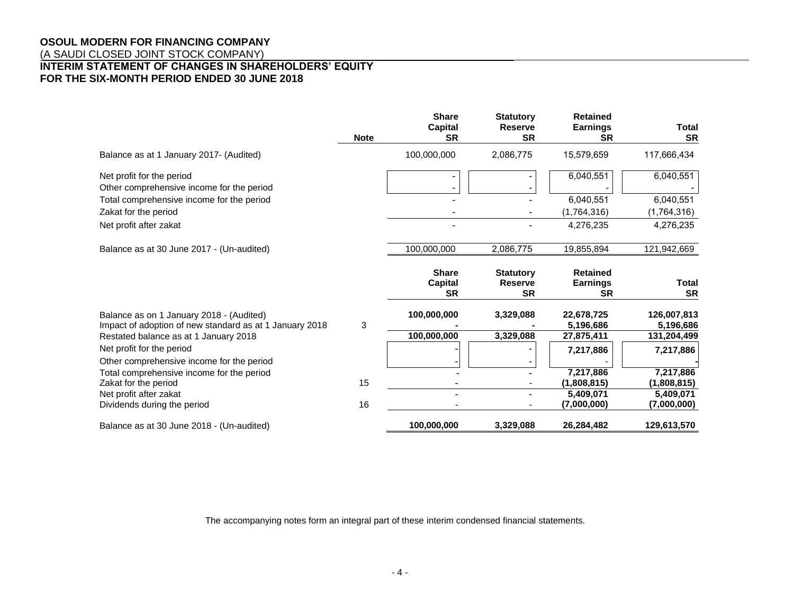# **OSOUL MODERN FOR FINANCING COMPANY**

(A SAUDI CLOSED JOINT STOCK COMPANY)

# **INTERIM STATEMENT OF CHANGES IN SHAREHOLDERS' EQUITY FOR THE SIX-MONTH PERIOD ENDED 30 JUNE 2018**

|                                                                                                     | <b>Note</b> | <b>Share</b><br>Capital<br><b>SR</b>        | <b>Statutory</b><br><b>Reserve</b><br><b>SR</b> | <b>Retained</b><br><b>Earnings</b><br><b>SR</b> | <b>Total</b><br><b>SR</b> |
|-----------------------------------------------------------------------------------------------------|-------------|---------------------------------------------|-------------------------------------------------|-------------------------------------------------|---------------------------|
| Balance as at 1 January 2017- (Audited)                                                             |             | 100,000,000                                 | 2,086,775                                       | 15,579,659                                      | 117,666,434               |
| Net profit for the period<br>Other comprehensive income for the period                              |             |                                             |                                                 | 6,040,551                                       | 6,040,551                 |
| Total comprehensive income for the period                                                           |             |                                             |                                                 | 6.040.551                                       | 6,040,551                 |
| Zakat for the period                                                                                |             |                                             |                                                 | (1,764,316)                                     | (1,764,316)               |
| Net profit after zakat                                                                              |             |                                             |                                                 | 4,276,235                                       | 4,276,235                 |
| Balance as at 30 June 2017 - (Un-audited)                                                           |             | 100,000,000                                 | 2,086,775                                       | 19,855,894                                      | 121,942,669               |
|                                                                                                     |             | <b>Share</b><br><b>Capital</b><br><b>SR</b> | <b>Statutory</b><br><b>Reserve</b><br><b>SR</b> | <b>Retained</b><br><b>Earnings</b><br><b>SR</b> | Total<br><b>SR</b>        |
| Balance as on 1 January 2018 - (Audited)<br>Impact of adoption of new standard as at 1 January 2018 | 3           | 100,000,000                                 | 3,329,088                                       | 22,678,725<br>5,196,686                         | 126,007,813<br>5,196,686  |
| Restated balance as at 1 January 2018                                                               |             | 100,000,000                                 | 3,329,088                                       | 27,875,411                                      | 131,204,499               |
| Net profit for the period<br>Other comprehensive income for the period                              |             |                                             |                                                 | 7,217,886                                       | 7,217,886                 |
| Total comprehensive income for the period                                                           |             |                                             |                                                 | 7,217,886                                       | 7,217,886                 |
| Zakat for the period                                                                                | 15          |                                             |                                                 | (1,808,815)                                     | (1,808,815)               |
| Net profit after zakat                                                                              |             |                                             |                                                 | 5,409,071                                       | 5,409,071                 |
| Dividends during the period                                                                         | 16          |                                             |                                                 | (7,000,000)                                     | (7,000,000)               |
| Balance as at 30 June 2018 - (Un-audited)                                                           |             | 100,000,000                                 | 3,329,088                                       | 26,284,482                                      | 129,613,570               |

The accompanying notes form an integral part of these interim condensed financial statements.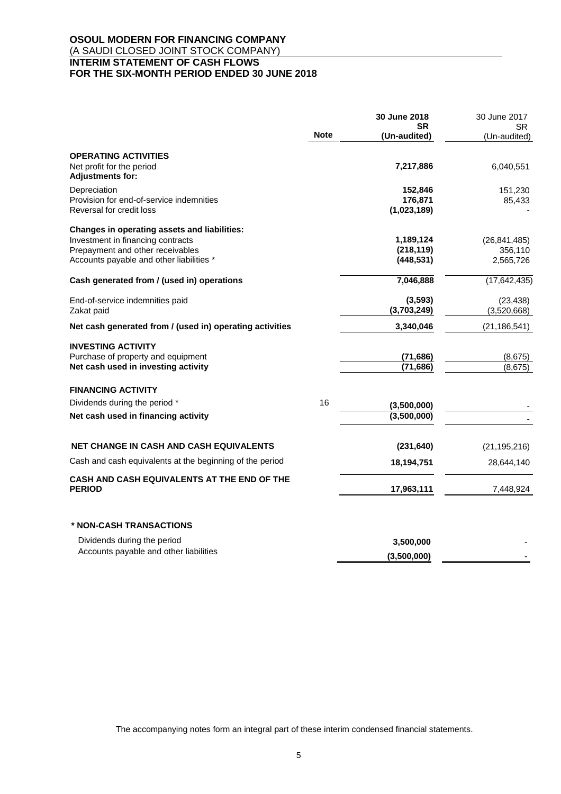# **OSOUL MODERN FOR FINANCING COMPANY** (A SAUDI CLOSED JOINT STOCK COMPANY) **INTERIM STATEMENT OF CASH FLOWS FOR THE SIX-MONTH PERIOD ENDED 30 JUNE 2018**

|                                                                              |             | 30 June 2018<br><b>SR</b> | 30 June 2017<br>SR.  |
|------------------------------------------------------------------------------|-------------|---------------------------|----------------------|
|                                                                              | <b>Note</b> | (Un-audited)              | (Un-audited)         |
| <b>OPERATING ACTIVITIES</b>                                                  |             |                           |                      |
| Net profit for the period<br><b>Adjustments for:</b>                         |             | 7,217,886                 | 6,040,551            |
| Depreciation                                                                 |             | 152,846                   | 151,230              |
| Provision for end-of-service indemnities<br>Reversal for credit loss         |             | 176,871<br>(1,023,189)    | 85,433               |
| Changes in operating assets and liabilities:                                 |             |                           |                      |
| Investment in financing contracts                                            |             | 1,189,124                 | (26, 841, 485)       |
| Prepayment and other receivables<br>Accounts payable and other liabilities * |             | (218, 119)<br>(448, 531)  | 356,110<br>2,565,726 |
| Cash generated from / (used in) operations                                   |             | 7,046,888                 | (17, 642, 435)       |
| End-of-service indemnities paid                                              |             | (3,593)                   | (23, 438)            |
| Zakat paid                                                                   |             | (3,703,249)               | (3,520,668)          |
| Net cash generated from / (used in) operating activities                     |             | 3,340,046                 | (21, 186, 541)       |
| <b>INVESTING ACTIVITY</b>                                                    |             |                           |                      |
| Purchase of property and equipment<br>Net cash used in investing activity    |             | (71, 686)<br>(71, 686)    | (8,675)<br>(8,675)   |
| <b>FINANCING ACTIVITY</b>                                                    |             |                           |                      |
| Dividends during the period *                                                | 16          | (3,500,000)               |                      |
| Net cash used in financing activity                                          |             | (3,500,000)               |                      |
| <b>NET CHANGE IN CASH AND CASH EQUIVALENTS</b>                               |             | (231, 640)                | (21, 195, 216)       |
| Cash and cash equivalents at the beginning of the period                     |             | 18,194,751                | 28,644,140           |
| <b>CASH AND CASH EQUIVALENTS AT THE END OF THE</b><br><b>PERIOD</b>          |             | 17,963,111                | 7,448,924            |
|                                                                              |             |                           |                      |
| * NON-CASH TRANSACTIONS                                                      |             |                           |                      |
| Dividends during the period<br>Accounts payable and other liabilities        |             | 3,500,000                 |                      |
|                                                                              |             | (3,500,000)               |                      |

The accompanying notes form an integral part of these interim condensed financial statements.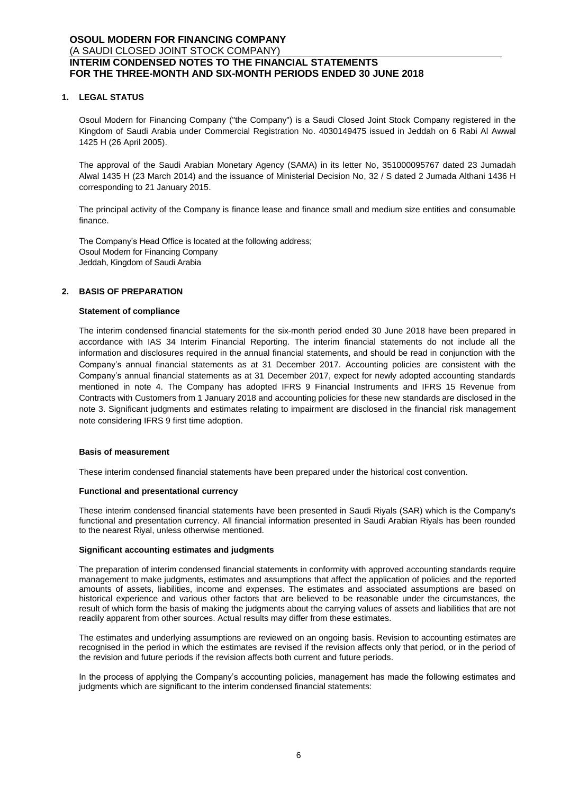## **1. LEGAL STATUS**

Osoul Modern for Financing Company ("the Company") is a Saudi Closed Joint Stock Company registered in the Kingdom of Saudi Arabia under Commercial Registration No. 4030149475 issued in Jeddah on 6 Rabi Al Awwal 1425 H (26 April 2005).

The approval of the Saudi Arabian Monetary Agency (SAMA) in its letter No, 351000095767 dated 23 Jumadah Alwal 1435 H (23 March 2014) and the issuance of Ministerial Decision No, 32 / S dated 2 Jumada Althani 1436 H corresponding to 21 January 2015.

The principal activity of the Company is finance lease and finance small and medium size entities and consumable finance.

The Company's Head Office is located at the following address; Osoul Modern for Financing Company Jeddah, Kingdom of Saudi Arabia

## **2. BASIS OF PREPARATION**

## **Statement of compliance**

The interim condensed financial statements for the six-month period ended 30 June 2018 have been prepared in accordance with IAS 34 Interim Financial Reporting. The interim financial statements do not include all the information and disclosures required in the annual financial statements, and should be read in conjunction with the Company's annual financial statements as at 31 December 2017. Accounting policies are consistent with the Company's annual financial statements as at 31 December 2017, expect for newly adopted accounting standards mentioned in note 4. The Company has adopted IFRS 9 Financial Instruments and IFRS 15 Revenue from Contracts with Customers from 1 January 2018 and accounting policies for these new standards are disclosed in the note 3. Significant judgments and estimates relating to impairment are disclosed in the financial risk management note considering IFRS 9 first time adoption.

#### **Basis of measurement**

These interim condensed financial statements have been prepared under the historical cost convention.

#### **Functional and presentational currency**

These interim condensed financial statements have been presented in Saudi Riyals (SAR) which is the Company's functional and presentation currency. All financial information presented in Saudi Arabian Riyals has been rounded to the nearest Riyal, unless otherwise mentioned.

#### **Significant accounting estimates and judgments**

The preparation of interim condensed financial statements in conformity with approved accounting standards require management to make judgments, estimates and assumptions that affect the application of policies and the reported amounts of assets, liabilities, income and expenses. The estimates and associated assumptions are based on historical experience and various other factors that are believed to be reasonable under the circumstances, the result of which form the basis of making the judgments about the carrying values of assets and liabilities that are not readily apparent from other sources. Actual results may differ from these estimates.

The estimates and underlying assumptions are reviewed on an ongoing basis. Revision to accounting estimates are recognised in the period in which the estimates are revised if the revision affects only that period, or in the period of the revision and future periods if the revision affects both current and future periods.

In the process of applying the Company's accounting policies, management has made the following estimates and judgments which are significant to the interim condensed financial statements: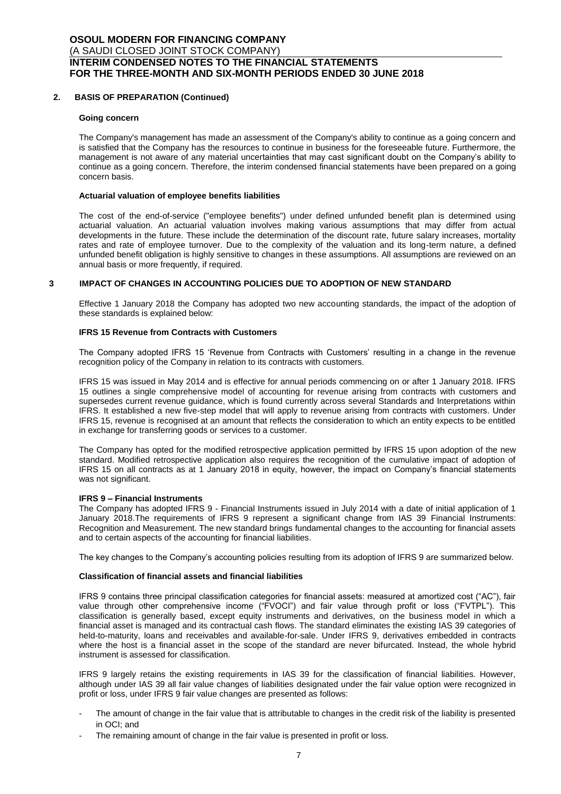## **2. BASIS OF PREPARATION (Continued)**

#### **Going concern**

The Company's management has made an assessment of the Company's ability to continue as a going concern and is satisfied that the Company has the resources to continue in business for the foreseeable future. Furthermore, the management is not aware of any material uncertainties that may cast significant doubt on the Company's ability to continue as a going concern. Therefore, the interim condensed financial statements have been prepared on a going concern basis.

### **Actuarial valuation of employee benefits liabilities**

The cost of the end-of-service ("employee benefits") under defined unfunded benefit plan is determined using actuarial valuation. An actuarial valuation involves making various assumptions that may differ from actual developments in the future. These include the determination of the discount rate, future salary increases, mortality rates and rate of employee turnover. Due to the complexity of the valuation and its long-term nature, a defined unfunded benefit obligation is highly sensitive to changes in these assumptions. All assumptions are reviewed on an annual basis or more frequently, if required.

## **3 IMPACT OF CHANGES IN ACCOUNTING POLICIES DUE TO ADOPTION OF NEW STANDARD**

Effective 1 January 2018 the Company has adopted two new accounting standards, the impact of the adoption of these standards is explained below:

#### **IFRS 15 Revenue from Contracts with Customers**

The Company adopted IFRS 15 'Revenue from Contracts with Customers' resulting in a change in the revenue recognition policy of the Company in relation to its contracts with customers.

IFRS 15 was issued in May 2014 and is effective for annual periods commencing on or after 1 January 2018. IFRS 15 outlines a single comprehensive model of accounting for revenue arising from contracts with customers and supersedes current revenue guidance, which is found currently across several Standards and Interpretations within IFRS. It established a new five-step model that will apply to revenue arising from contracts with customers. Under IFRS 15, revenue is recognised at an amount that reflects the consideration to which an entity expects to be entitled in exchange for transferring goods or services to a customer.

The Company has opted for the modified retrospective application permitted by IFRS 15 upon adoption of the new standard. Modified retrospective application also requires the recognition of the cumulative impact of adoption of IFRS 15 on all contracts as at 1 January 2018 in equity, however, the impact on Company's financial statements was not significant.

#### **IFRS 9 – Financial Instruments**

The Company has adopted IFRS 9 - Financial Instruments issued in July 2014 with a date of initial application of 1 January 2018.The requirements of IFRS 9 represent a significant change from IAS 39 Financial Instruments: Recognition and Measurement. The new standard brings fundamental changes to the accounting for financial assets and to certain aspects of the accounting for financial liabilities.

The key changes to the Company's accounting policies resulting from its adoption of IFRS 9 are summarized below.

#### **Classification of financial assets and financial liabilities**

IFRS 9 contains three principal classification categories for financial assets: measured at amortized cost ("AC"), fair value through other comprehensive income ("FVOCI") and fair value through profit or loss ("FVTPL"). This classification is generally based, except equity instruments and derivatives, on the business model in which a financial asset is managed and its contractual cash flows. The standard eliminates the existing IAS 39 categories of held-to-maturity, loans and receivables and available-for-sale. Under IFRS 9, derivatives embedded in contracts where the host is a financial asset in the scope of the standard are never bifurcated. Instead, the whole hybrid instrument is assessed for classification.

IFRS 9 largely retains the existing requirements in IAS 39 for the classification of financial liabilities. However, although under IAS 39 all fair value changes of liabilities designated under the fair value option were recognized in profit or loss, under IFRS 9 fair value changes are presented as follows:

- The amount of change in the fair value that is attributable to changes in the credit risk of the liability is presented in OCI; and
- The remaining amount of change in the fair value is presented in profit or loss.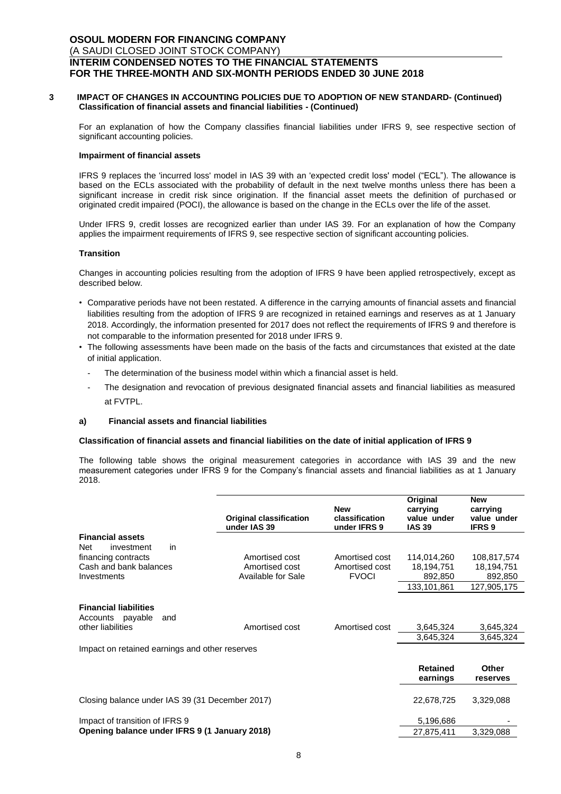#### **3 IMPACT OF CHANGES IN ACCOUNTING POLICIES DUE TO ADOPTION OF NEW STANDARD- (Continued) Classification of financial assets and financial liabilities - (Continued)**

For an explanation of how the Company classifies financial liabilities under IFRS 9, see respective section of significant accounting policies.

#### **Impairment of financial assets**

IFRS 9 replaces the 'incurred loss' model in IAS 39 with an 'expected credit loss' model ("ECL"). The allowance is based on the ECLs associated with the probability of default in the next twelve months unless there has been a significant increase in credit risk since origination. If the financial asset meets the definition of purchased or originated credit impaired (POCI), the allowance is based on the change in the ECLs over the life of the asset.

Under IFRS 9, credit losses are recognized earlier than under IAS 39. For an explanation of how the Company applies the impairment requirements of IFRS 9, see respective section of significant accounting policies.

#### **Transition**

Changes in accounting policies resulting from the adoption of IFRS 9 have been applied retrospectively, except as described below.

- Comparative periods have not been restated. A difference in the carrying amounts of financial assets and financial liabilities resulting from the adoption of IFRS 9 are recognized in retained earnings and reserves as at 1 January 2018. Accordingly, the information presented for 2017 does not reflect the requirements of IFRS 9 and therefore is not comparable to the information presented for 2018 under IFRS 9.
- The following assessments have been made on the basis of the facts and circumstances that existed at the date of initial application.
	- The determination of the business model within which a financial asset is held.
	- The designation and revocation of previous designated financial assets and financial liabilities as measured at FVTPL.

#### **a) Financial assets and financial liabilities**

#### **Classification of financial assets and financial liabilities on the date of initial application of IFRS 9**

The following table shows the original measurement categories in accordance with IAS 39 and the new measurement categories under IFRS 9 for the Company's financial assets and financial liabilities as at 1 January 2018.

|                                                                              | <b>Original classification</b><br>under IAS 39 | <b>New</b><br>classification<br>under IFRS 9 | Original<br>carrying<br>value under<br><b>IAS 39</b> | <b>New</b><br>carrying<br>value under<br><b>IFRS 9</b> |
|------------------------------------------------------------------------------|------------------------------------------------|----------------------------------------------|------------------------------------------------------|--------------------------------------------------------|
| <b>Financial assets</b>                                                      |                                                |                                              |                                                      |                                                        |
| <b>Net</b><br>investment<br>in                                               |                                                |                                              |                                                      |                                                        |
| financing contracts                                                          | Amortised cost                                 | Amortised cost                               | 114,014,260                                          | 108,817,574                                            |
| Cash and bank balances                                                       | Amortised cost                                 | Amortised cost                               | 18,194,751                                           | 18,194,751                                             |
| Investments                                                                  | Available for Sale                             | <b>FVOCI</b>                                 | 892,850                                              | 892,850                                                |
|                                                                              |                                                |                                              | 133,101,861                                          | 127,905,175                                            |
| <b>Financial liabilities</b><br>Accounts payable<br>and<br>other liabilities | Amortised cost                                 | Amortised cost                               | 3,645,324                                            | 3,645,324                                              |
|                                                                              |                                                |                                              | 3,645,324                                            | 3,645,324                                              |
| Impact on retained earnings and other reserves                               |                                                |                                              |                                                      |                                                        |
|                                                                              |                                                |                                              | <b>Retained</b>                                      | Other                                                  |
|                                                                              |                                                |                                              | earnings                                             | reserves                                               |
| Closing balance under IAS 39 (31 December 2017)                              |                                                |                                              | 22,678,725                                           | 3,329,088                                              |
| Impact of transition of IFRS 9                                               |                                                |                                              | 5,196,686                                            |                                                        |
| Opening balance under IFRS 9 (1 January 2018)                                |                                                |                                              | 27,875,411                                           | 3,329,088                                              |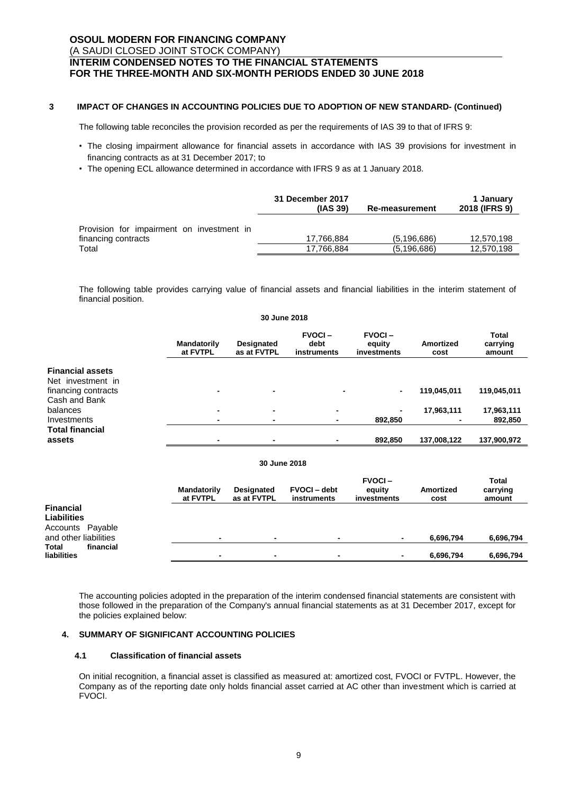## **3 IMPACT OF CHANGES IN ACCOUNTING POLICIES DUE TO ADOPTION OF NEW STANDARD- (Continued)**

The following table reconciles the provision recorded as per the requirements of IAS 39 to that of IFRS 9:

- The closing impairment allowance for financial assets in accordance with IAS 39 provisions for investment in financing contracts as at 31 December 2017; to
- The opening ECL allowance determined in accordance with IFRS 9 as at 1 January 2018.

|                                           | 31 December 2017<br>(IAS 39) | <b>Re-measurement</b> | 1 January<br>2018 (IFRS 9) |
|-------------------------------------------|------------------------------|-----------------------|----------------------------|
| Provision for impairment on investment in |                              |                       |                            |
| financing contracts                       | 17.766.884                   | (5, 196, 686)         | 12.570.198                 |
| Total                                     | 17,766,884                   | (5.196.686)           | 12,570,198                 |

The following table provides carrying value of financial assets and financial liabilities in the interim statement of financial position.

|                                                                     |                                            |                                  | 30 June 2018                         |                                        |                          |                                    |
|---------------------------------------------------------------------|--------------------------------------------|----------------------------------|--------------------------------------|----------------------------------------|--------------------------|------------------------------------|
|                                                                     | <b>Mandatorily</b><br>at FVTPL             | <b>Designated</b><br>as at FVTPL | <b>FVOCI-</b><br>debt<br>instruments | <b>FVOCI-</b><br>equity<br>investments | Amortized<br>cost        | <b>Total</b><br>carrying<br>amount |
| <b>Financial assets</b><br>Net investment in<br>financing contracts | $\overline{\phantom{0}}$                   |                                  |                                      | $\blacksquare$                         | 119,045,011              | 119,045,011                        |
| Cash and Bank<br>balances<br>Investments                            | $\blacksquare$<br>$\overline{\phantom{0}}$ | $\blacksquare$<br>$\blacksquare$ | -<br>٠                               | 892,850                                | 17,963,111               | 17,963,111<br>892,850              |
| <b>Total financial</b><br>assets                                    | $\overline{\phantom{0}}$                   |                                  |                                      | 892,850                                | 137,008,122              | 137,900,972                        |
|                                                                     |                                            |                                  | 30 June 2018                         |                                        |                          |                                    |
|                                                                     | <b>Mandatorily</b><br>at FVTPL             | Designated<br>as at FVTPL        | <b>FVOCI-debt</b><br>instruments     | <b>FVOCI-</b><br>equity<br>investments | <b>Amortized</b><br>cost | Total<br>carrying<br>amount        |

| <b>Financial</b>          |                          |                |                |           |           |
|---------------------------|--------------------------|----------------|----------------|-----------|-----------|
| <b>Liabilities</b>        |                          |                |                |           |           |
| Accounts Payable          |                          |                |                |           |           |
| and other liabilities     | $\blacksquare$           | $\blacksquare$ | $\blacksquare$ | 6.696.794 | 6,696,794 |
| <b>Total</b><br>financial |                          |                |                |           |           |
| liabilities               | $\overline{\phantom{0}}$ | $\blacksquare$ | $\blacksquare$ | 6,696,794 | 6,696,794 |

The accounting policies adopted in the preparation of the interim condensed financial statements are consistent with those followed in the preparation of the Company's annual financial statements as at 31 December 2017, except for the policies explained below:

## **4. SUMMARY OF SIGNIFICANT ACCOUNTING POLICIES**

#### **4.1 Classification of financial assets**

On initial recognition, a financial asset is classified as measured at: amortized cost, FVOCI or FVTPL. However, the Company as of the reporting date only holds financial asset carried at AC other than investment which is carried at FVOCI.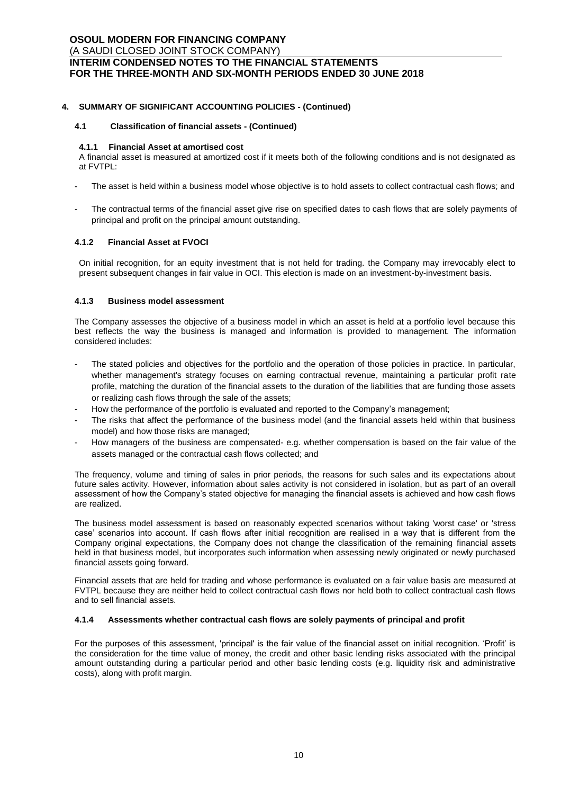## **4. SUMMARY OF SIGNIFICANT ACCOUNTING POLICIES - (Continued)**

## **4.1 Classification of financial assets - (Continued)**

### **4.1.1 Financial Asset at amortised cost**

A financial asset is measured at amortized cost if it meets both of the following conditions and is not designated as at FVTPL:

- The asset is held within a business model whose objective is to hold assets to collect contractual cash flows; and
- The contractual terms of the financial asset give rise on specified dates to cash flows that are solely payments of principal and profit on the principal amount outstanding.

## **4.1.2 Financial Asset at FVOCI**

On initial recognition, for an equity investment that is not held for trading. the Company may irrevocably elect to present subsequent changes in fair value in OCI. This election is made on an investment-by-investment basis.

## **4.1.3 Business model assessment**

The Company assesses the objective of a business model in which an asset is held at a portfolio level because this best reflects the way the business is managed and information is provided to management. The information considered includes:

- The stated policies and objectives for the portfolio and the operation of those policies in practice. In particular, whether management's strategy focuses on earning contractual revenue, maintaining a particular profit rate profile, matching the duration of the financial assets to the duration of the liabilities that are funding those assets or realizing cash flows through the sale of the assets;
- How the performance of the portfolio is evaluated and reported to the Company's management;
- The risks that affect the performance of the business model (and the financial assets held within that business model) and how those risks are managed;
- How managers of the business are compensated- e.g. whether compensation is based on the fair value of the assets managed or the contractual cash flows collected; and

The frequency, volume and timing of sales in prior periods, the reasons for such sales and its expectations about future sales activity. However, information about sales activity is not considered in isolation, but as part of an overall assessment of how the Company's stated objective for managing the financial assets is achieved and how cash flows are realized.

The business model assessment is based on reasonably expected scenarios without taking 'worst case' or 'stress case' scenarios into account. If cash flows after initial recognition are realised in a way that is different from the Company original expectations, the Company does not change the classification of the remaining financial assets held in that business model, but incorporates such information when assessing newly originated or newly purchased financial assets going forward.

Financial assets that are held for trading and whose performance is evaluated on a fair value basis are measured at FVTPL because they are neither held to collect contractual cash flows nor held both to collect contractual cash flows and to sell financial assets.

## **4.1.4 Assessments whether contractual cash flows are solely payments of principal and profit**

For the purposes of this assessment, 'principal' is the fair value of the financial asset on initial recognition. 'Profit' is the consideration for the time value of money, the credit and other basic lending risks associated with the principal amount outstanding during a particular period and other basic lending costs (e.g. liquidity risk and administrative costs), along with profit margin.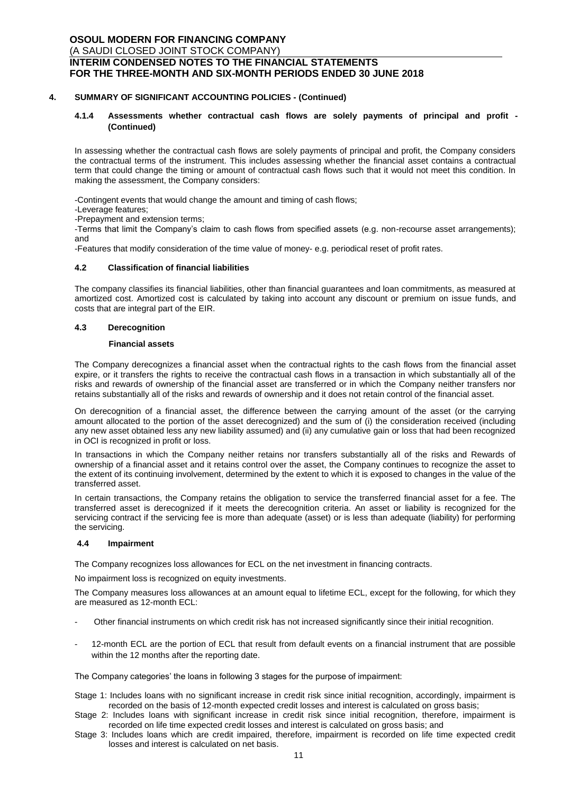### **4. SUMMARY OF SIGNIFICANT ACCOUNTING POLICIES - (Continued)**

## **4.1.4 Assessments whether contractual cash flows are solely payments of principal and profit - (Continued)**

In assessing whether the contractual cash flows are solely payments of principal and profit, the Company considers the contractual terms of the instrument. This includes assessing whether the financial asset contains a contractual term that could change the timing or amount of contractual cash flows such that it would not meet this condition. In making the assessment, the Company considers:

-Contingent events that would change the amount and timing of cash flows;

-Leverage features;

-Prepayment and extension terms;

-Terms that limit the Company's claim to cash flows from specified assets (e.g. non-recourse asset arrangements); and

-Features that modify consideration of the time value of money- e.g. periodical reset of profit rates.

#### **4.2 Classification of financial liabilities**

The company classifies its financial liabilities, other than financial guarantees and loan commitments, as measured at amortized cost. Amortized cost is calculated by taking into account any discount or premium on issue funds, and costs that are integral part of the EIR.

## **4.3 Derecognition**

#### **Financial assets**

The Company derecognizes a financial asset when the contractual rights to the cash flows from the financial asset expire, or it transfers the rights to receive the contractual cash flows in a transaction in which substantially all of the risks and rewards of ownership of the financial asset are transferred or in which the Company neither transfers nor retains substantially all of the risks and rewards of ownership and it does not retain control of the financial asset.

On derecognition of a financial asset, the difference between the carrying amount of the asset (or the carrying amount allocated to the portion of the asset derecognized) and the sum of (i) the consideration received (including any new asset obtained less any new liability assumed) and (ii) any cumulative gain or loss that had been recognized in OCI is recognized in profit or loss.

In transactions in which the Company neither retains nor transfers substantially all of the risks and Rewards of ownership of a financial asset and it retains control over the asset, the Company continues to recognize the asset to the extent of its continuing involvement, determined by the extent to which it is exposed to changes in the value of the transferred asset.

In certain transactions, the Company retains the obligation to service the transferred financial asset for a fee. The transferred asset is derecognized if it meets the derecognition criteria. An asset or liability is recognized for the servicing contract if the servicing fee is more than adequate (asset) or is less than adequate (liability) for performing the servicing.

#### **4.4 Impairment**

The Company recognizes loss allowances for ECL on the net investment in financing contracts.

No impairment loss is recognized on equity investments.

The Company measures loss allowances at an amount equal to lifetime ECL, except for the following, for which they are measured as 12-month ECL:

- Other financial instruments on which credit risk has not increased significantly since their initial recognition.
- 12-month ECL are the portion of ECL that result from default events on a financial instrument that are possible within the 12 months after the reporting date.

The Company categories' the loans in following 3 stages for the purpose of impairment:

- Stage 1: Includes loans with no significant increase in credit risk since initial recognition, accordingly, impairment is recorded on the basis of 12-month expected credit losses and interest is calculated on gross basis;
- Stage 2: Includes loans with significant increase in credit risk since initial recognition, therefore, impairment is recorded on life time expected credit losses and interest is calculated on gross basis; and
- Stage 3: Includes loans which are credit impaired, therefore, impairment is recorded on life time expected credit losses and interest is calculated on net basis.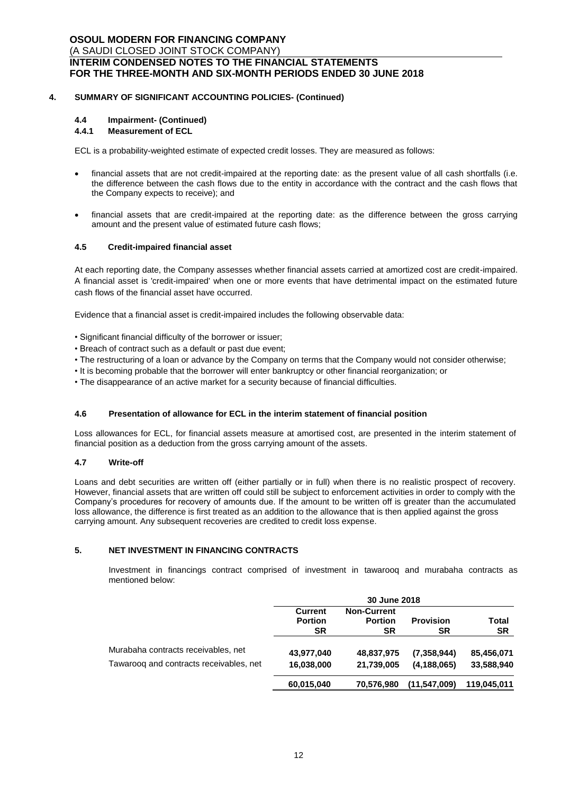## **4. SUMMARY OF SIGNIFICANT ACCOUNTING POLICIES- (Continued)**

## **4.4 Impairment- (Continued)**

## **4.4.1 Measurement of ECL**

ECL is a probability-weighted estimate of expected credit losses. They are measured as follows:

- financial assets that are not credit-impaired at the reporting date: as the present value of all cash shortfalls (i.e. the difference between the cash flows due to the entity in accordance with the contract and the cash flows that the Company expects to receive); and
- financial assets that are credit-impaired at the reporting date: as the difference between the gross carrying amount and the present value of estimated future cash flows;

### **4.5 Credit-impaired financial asset**

At each reporting date, the Company assesses whether financial assets carried at amortized cost are credit-impaired. A financial asset is 'credit-impaired' when one or more events that have detrimental impact on the estimated future cash flows of the financial asset have occurred.

Evidence that a financial asset is credit-impaired includes the following observable data:

- Significant financial difficulty of the borrower or issuer;
- Breach of contract such as a default or past due event;
- The restructuring of a loan or advance by the Company on terms that the Company would not consider otherwise;
- It is becoming probable that the borrower will enter bankruptcy or other financial reorganization; or
- The disappearance of an active market for a security because of financial difficulties.

#### **4.6 Presentation of allowance for ECL in the interim statement of financial position**

Loss allowances for ECL, for financial assets measure at amortised cost, are presented in the interim statement of financial position as a deduction from the gross carrying amount of the assets.

## **4.7 Write-off**

Loans and debt securities are written off (either partially or in full) when there is no realistic prospect of recovery. However, financial assets that are written off could still be subject to enforcement activities in order to comply with the Company's procedures for recovery of amounts due. If the amount to be written off is greater than the accumulated loss allowance, the difference is first treated as an addition to the allowance that is then applied against the gross carrying amount. Any subsequent recoveries are credited to credit loss expense.

#### **5. NET INVESTMENT IN FINANCING CONTRACTS**

Investment in financings contract comprised of investment in tawarooq and murabaha contracts as mentioned below:

|                                                                                | 30 June 2018                           |                                            |                              |                          |
|--------------------------------------------------------------------------------|----------------------------------------|--------------------------------------------|------------------------------|--------------------------|
|                                                                                | <b>Current</b><br><b>Portion</b><br>SR | <b>Non-Current</b><br><b>Portion</b><br>SR | <b>Provision</b><br>SR       | Total<br><b>SR</b>       |
| Murabaha contracts receivables, net<br>Tawaroog and contracts receivables, net | 43,977,040<br>16,038,000               | 48,837,975<br>21,739,005                   | (7,358,944)<br>(4, 188, 065) | 85,456,071<br>33,588,940 |
|                                                                                | 60,015,040                             | 70,576,980                                 | (11, 547, 009)               | 119,045,011              |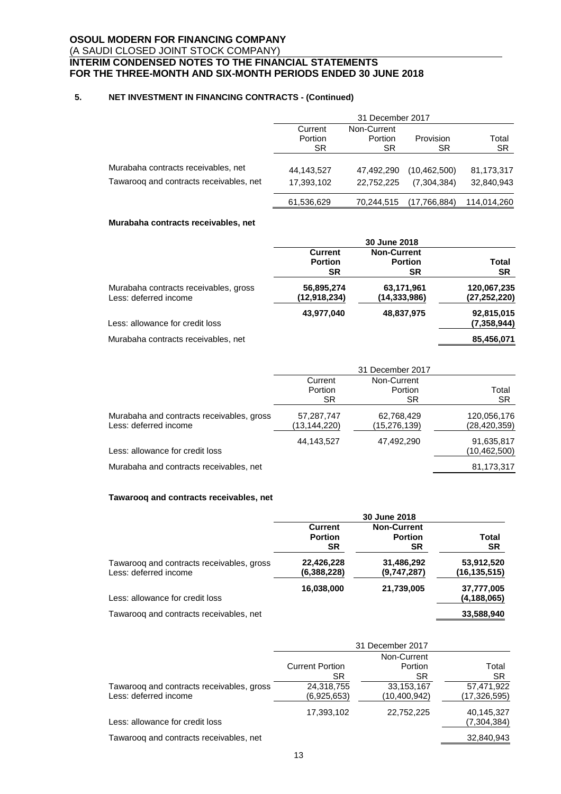## **5. NET INVESTMENT IN FINANCING CONTRACTS - (Continued)**

|                                         |            | 31 December 2017 |                |             |
|-----------------------------------------|------------|------------------|----------------|-------------|
|                                         | Current    | Non-Current      |                |             |
|                                         | Portion    | Portion          | Provision      | Total       |
|                                         | SR.        | SR               | SR             | <b>SR</b>   |
| Murabaha contracts receivables, net     | 44.143.527 | 47.492.290       | (10, 462, 500) | 81,173,317  |
| Tawaroog and contracts receivables, net | 17,393,102 | 22.752.225       | (7.304.384)    | 32,840,943  |
|                                         | 61,536,629 | 70.244.515       | (17,766,884)   | 114,014,260 |

## **Murabaha contracts receivables, net**

|                                       |                | <b>30 June 2018</b> |                |
|---------------------------------------|----------------|---------------------|----------------|
|                                       | <b>Current</b> | <b>Non-Current</b>  |                |
|                                       | <b>Portion</b> | <b>Portion</b>      | Total          |
|                                       | SR             | <b>SR</b>           | <b>SR</b>      |
| Murabaha contracts receivables, gross | 56,895,274     | 63,171,961          | 120,067,235    |
| Less: deferred income                 | (12,918,234)   | (14,333,986)        | (27, 252, 220) |
|                                       | 43,977,040     | 48,837,975          | 92,815,015     |
| Less: allowance for credit loss       |                |                     | (7,358,944)    |
| Murabaha contracts receivables, net   |                |                     | 85,456,071     |

|                                                                    |                            | 31 December 2017           |                               |
|--------------------------------------------------------------------|----------------------------|----------------------------|-------------------------------|
|                                                                    | Current                    | Non-Current                |                               |
|                                                                    | Portion                    | Portion                    | Total                         |
|                                                                    | SR                         | SR.                        | SR.                           |
| Murabaha and contracts receivables, gross<br>Less: deferred income | 57,287,747<br>(13,144,220) | 62,768,429<br>(15,276,139) | 120,056,176<br>(28, 420, 359) |
|                                                                    |                            |                            |                               |
| Less: allowance for credit loss                                    | 44,143,527                 | 47,492,290                 | 91,635,817<br>(10, 462, 500)  |
| Murabaha and contracts receivables, net                            |                            |                            | 81,173,317                    |
|                                                                    |                            |                            |                               |

## **Tawarooq and contracts receivables, net**

|                                                                    | 30 June 2018                                  |                                                   |                              |
|--------------------------------------------------------------------|-----------------------------------------------|---------------------------------------------------|------------------------------|
|                                                                    | <b>Current</b><br><b>Portion</b><br><b>SR</b> | <b>Non-Current</b><br><b>Portion</b><br><b>SR</b> | Total<br><b>SR</b>           |
| Tawaroog and contracts receivables, gross<br>Less: deferred income | 22,426,228<br>(6,388,228)                     | 31,486,292<br>(9,747,287)                         | 53,912,520<br>(16, 135, 515) |
| Less: allowance for credit loss                                    | 16,038,000                                    | 21,739,005                                        | 37,777,005<br>(4, 188, 065)  |
| Tawaroog and contracts receivables, net                            |                                               |                                                   | 33,588,940                   |

|                                                                    | 31 December 2017              |                            |                              |
|--------------------------------------------------------------------|-------------------------------|----------------------------|------------------------------|
|                                                                    |                               |                            |                              |
|                                                                    | <b>Current Portion</b><br>SR. | Portion<br>SR              | Total<br><b>SR</b>           |
| Tawaroog and contracts receivables, gross<br>Less: deferred income | 24,318,755<br>(6,925,653)     | 33,153,167<br>(10,400,942) | 57,471,922<br>(17, 326, 595) |
| Less: allowance for credit loss                                    | 17,393,102                    | 22,752,225                 | 40,145,327<br>(7,304,384)    |
| Tawaroog and contracts receivables, net                            |                               |                            | 32,840,943                   |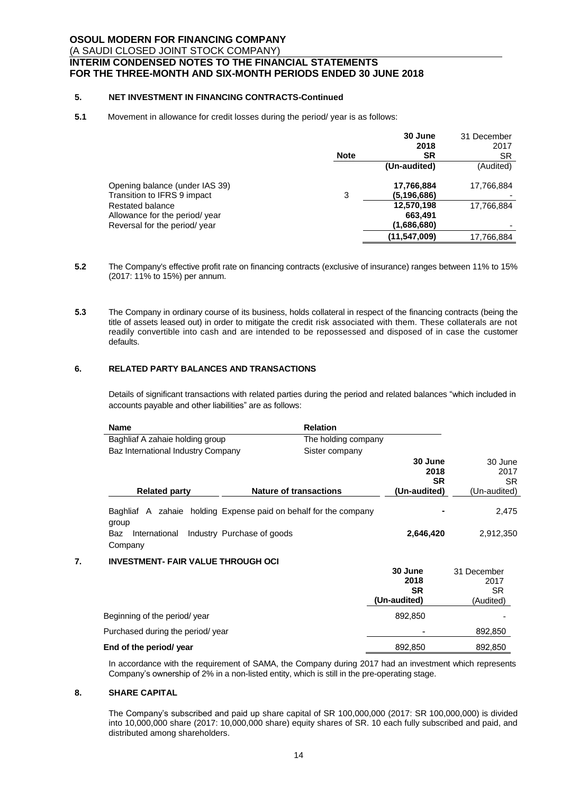## **5. NET INVESTMENT IN FINANCING CONTRACTS-Continued**

### **5.1** Movement in allowance for credit losses during the period/ year is as follows:

|                                | <b>Note</b> | 30 June<br>2018<br><b>SR</b> | 31 December<br>2017<br><b>SR</b> |
|--------------------------------|-------------|------------------------------|----------------------------------|
|                                |             | (Un-audited)                 | (Audited)                        |
| Opening balance (under IAS 39) |             | 17,766,884                   | 17,766,884                       |
| Transition to IFRS 9 impact    | 3           | (5.196.686)                  |                                  |
| Restated balance               |             | 12,570,198                   | 17,766,884                       |
| Allowance for the period/ year |             | 663,491                      |                                  |
| Reversal for the period/ year  |             | (1,686,680)                  |                                  |
|                                |             | (11, 547, 009)               | 17,766,884                       |
|                                |             |                              |                                  |

- **5.2** The Company's effective profit rate on financing contracts (exclusive of insurance) ranges between 11% to 15% (2017: 11% to 15%) per annum.
- **5.3** The Company in ordinary course of its business, holds collateral in respect of the financing contracts (being the title of assets leased out) in order to mitigate the credit risk associated with them. These collaterals are not readily convertible into cash and are intended to be repossessed and disposed of in case the customer defaults.

## **6. RELATED PARTY BALANCES AND TRANSACTIONS**

Details of significant transactions with related parties during the period and related balances "which included in accounts payable and other liabilities" are as follows:

| <b>Name</b>                                                               |                               | <b>Relation</b>     |                                              |                                              |
|---------------------------------------------------------------------------|-------------------------------|---------------------|----------------------------------------------|----------------------------------------------|
| Baghliaf A zahaie holding group                                           |                               | The holding company |                                              |                                              |
| Baz International Industry Company                                        |                               | Sister company      |                                              |                                              |
| <b>Related party</b>                                                      | <b>Nature of transactions</b> |                     | 30 June<br>2018<br><b>SR</b><br>(Un-audited) | 30 June<br>2017<br><b>SR</b><br>(Un-audited) |
|                                                                           |                               |                     |                                              |                                              |
| Baghliaf A zahaie holding Expense paid on behalf for the company<br>group |                               |                     |                                              | 2,475                                        |
| Baz<br>International<br>Company                                           | Industry Purchase of goods    |                     | 2,646,420                                    | 2,912,350                                    |
| <b>INVESTMENT- FAIR VALUE THROUGH OCI</b>                                 |                               |                     |                                              |                                              |
|                                                                           |                               |                     | 30 June<br>2018<br><b>SR</b><br>(Un-audited) | 31 December<br>2017<br>SR.<br>(Audited)      |
| Beginning of the period/year                                              |                               |                     | 892,850                                      |                                              |

Purchased during the period/ year  $\sim$  ,  $\sim$  ,  $\sim$  892,850 **End of the period/ year**  $\overline{892.850}$  ,  $\overline{892.850}$  ,  $\overline{892.850}$  ,  $\overline{892.850}$ 

In accordance with the requirement of SAMA, the Company during 2017 had an investment which represents Company's ownership of 2% in a non-listed entity, which is still in the pre-operating stage.

#### **8. SHARE CAPITAL**

The Company's subscribed and paid up share capital of SR 100,000,000 (2017: SR 100,000,000) is divided into 10,000,000 share (2017: 10,000,000 share) equity shares of SR. 10 each fully subscribed and paid, and distributed among shareholders.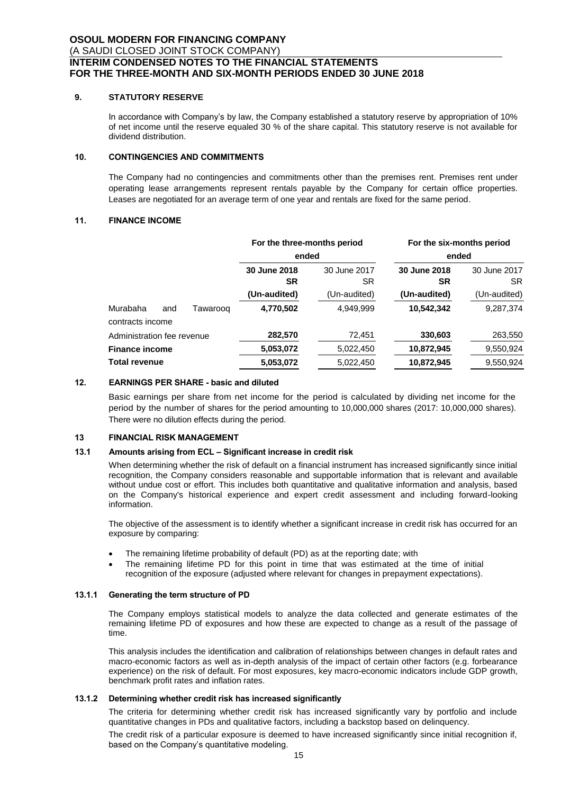### **9. STATUTORY RESERVE**

In accordance with Company's by law, the Company established a statutory reserve by appropriation of 10% of net income until the reserve equaled 30 % of the share capital. This statutory reserve is not available for dividend distribution.

## **10. CONTINGENCIES AND COMMITMENTS**

The Company had no contingencies and commitments other than the premises rent. Premises rent under operating lease arrangements represent rentals payable by the Company for certain office properties. Leases are negotiated for an average term of one year and rentals are fixed for the same period.

## **11. FINANCE INCOME**

|                              |     |          | For the three-months period<br>ended |                     | For the six-months period<br>ended |                    |
|------------------------------|-----|----------|--------------------------------------|---------------------|------------------------------------|--------------------|
|                              |     |          |                                      |                     |                                    |                    |
|                              |     |          | 30 June 2018<br><b>SR</b>            | 30 June 2017<br>SR. | 30 June 2018<br><b>SR</b>          | 30 June 2017<br>SR |
|                              |     |          | (Un-audited)                         | (Un-audited)        | (Un-audited)                       | (Un-audited)       |
| Murabaha<br>contracts income | and | Tawarooq | 4,770,502                            | 4,949,999           | 10,542,342                         | 9,287,374          |
| Administration fee revenue   |     |          | 282,570                              | 72,451              | 330,603                            | 263,550            |
| <b>Finance income</b>        |     |          | 5,053,072                            | 5,022,450           | 10,872,945                         | 9,550,924          |
| <b>Total revenue</b>         |     |          | 5,053,072                            | 5,022,450           | 10,872,945                         | 9,550,924          |

## **12. EARNINGS PER SHARE - basic and diluted**

Basic earnings per share from net income for the period is calculated by dividing net income for the period by the number of shares for the period amounting to 10,000,000 shares (2017: 10,000,000 shares). There were no dilution effects during the period.

## **13 FINANCIAL RISK MANAGEMENT**

## **13.1 Amounts arising from ECL – Significant increase in credit risk**

When determining whether the risk of default on a financial instrument has increased significantly since initial recognition, the Company considers reasonable and supportable information that is relevant and available without undue cost or effort. This includes both quantitative and qualitative information and analysis, based on the Company's historical experience and expert credit assessment and including forward-looking information.

The objective of the assessment is to identify whether a significant increase in credit risk has occurred for an exposure by comparing:

- The remaining lifetime probability of default (PD) as at the reporting date; with
- The remaining lifetime PD for this point in time that was estimated at the time of initial recognition of the exposure (adjusted where relevant for changes in prepayment expectations).

#### **13.1.1 Generating the term structure of PD**

The Company employs statistical models to analyze the data collected and generate estimates of the remaining lifetime PD of exposures and how these are expected to change as a result of the passage of time.

This analysis includes the identification and calibration of relationships between changes in default rates and macro-economic factors as well as in-depth analysis of the impact of certain other factors (e.g. forbearance experience) on the risk of default. For most exposures, key macro-economic indicators include GDP growth, benchmark profit rates and inflation rates.

#### **13.1.2 Determining whether credit risk has increased significantly**

The criteria for determining whether credit risk has increased significantly vary by portfolio and include quantitative changes in PDs and qualitative factors, including a backstop based on delinquency.

The credit risk of a particular exposure is deemed to have increased significantly since initial recognition if, based on the Company's quantitative modeling.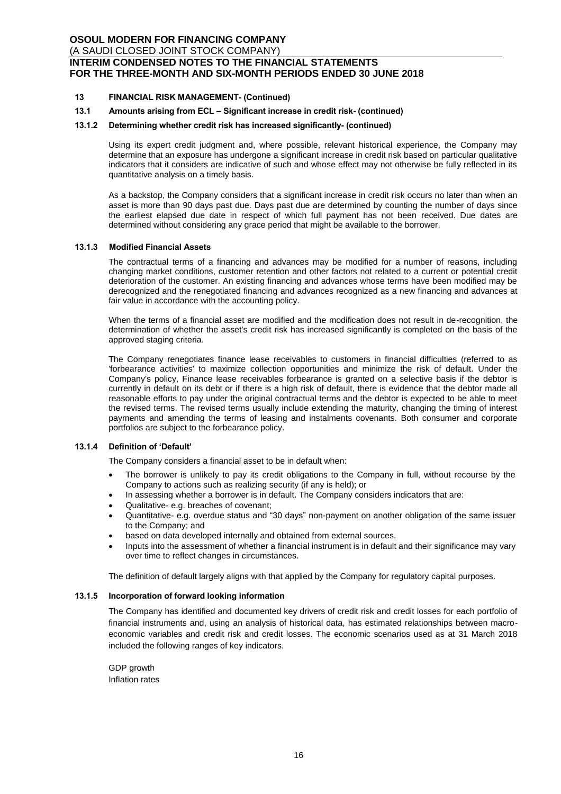## **13 FINANCIAL RISK MANAGEMENT- (Continued)**

## **13.1 Amounts arising from ECL – Significant increase in credit risk- (continued)**

#### **13.1.2 Determining whether credit risk has increased significantly- (continued)**

Using its expert credit judgment and, where possible, relevant historical experience, the Company may determine that an exposure has undergone a significant increase in credit risk based on particular qualitative indicators that it considers are indicative of such and whose effect may not otherwise be fully reflected in its quantitative analysis on a timely basis.

As a backstop, the Company considers that a significant increase in credit risk occurs no later than when an asset is more than 90 days past due. Days past due are determined by counting the number of days since the earliest elapsed due date in respect of which full payment has not been received. Due dates are determined without considering any grace period that might be available to the borrower.

#### **13.1.3 Modified Financial Assets**

The contractual terms of a financing and advances may be modified for a number of reasons, including changing market conditions, customer retention and other factors not related to a current or potential credit deterioration of the customer. An existing financing and advances whose terms have been modified may be derecognized and the renegotiated financing and advances recognized as a new financing and advances at fair value in accordance with the accounting policy.

When the terms of a financial asset are modified and the modification does not result in de-recognition, the determination of whether the asset's credit risk has increased significantly is completed on the basis of the approved staging criteria.

The Company renegotiates finance lease receivables to customers in financial difficulties (referred to as 'forbearance activities' to maximize collection opportunities and minimize the risk of default. Under the Company's policy, Finance lease receivables forbearance is granted on a selective basis if the debtor is currently in default on its debt or if there is a high risk of default, there is evidence that the debtor made all reasonable efforts to pay under the original contractual terms and the debtor is expected to be able to meet the revised terms. The revised terms usually include extending the maturity, changing the timing of interest payments and amending the terms of leasing and instalments covenants. Both consumer and corporate portfolios are subject to the forbearance policy.

#### **13.1.4 Definition of 'Default'**

The Company considers a financial asset to be in default when:

- The borrower is unlikely to pay its credit obligations to the Company in full, without recourse by the Company to actions such as realizing security (if any is held); or
- In assessing whether a borrower is in default. The Company considers indicators that are:
- Qualitative- e.g. breaches of covenant;
- Quantitative- e.g. overdue status and "30 days" non-payment on another obligation of the same issuer to the Company; and
- based on data developed internally and obtained from external sources.
- Inputs into the assessment of whether a financial instrument is in default and their significance may vary over time to reflect changes in circumstances.

The definition of default largely aligns with that applied by the Company for regulatory capital purposes.

#### **13.1.5 Incorporation of forward looking information**

The Company has identified and documented key drivers of credit risk and credit losses for each portfolio of financial instruments and, using an analysis of historical data, has estimated relationships between macroeconomic variables and credit risk and credit losses. The economic scenarios used as at 31 March 2018 included the following ranges of key indicators.

GDP growth Inflation rates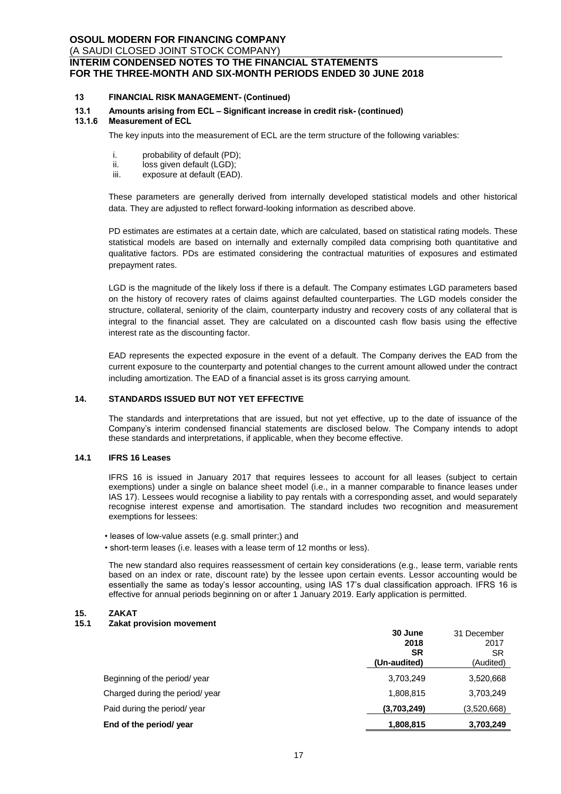## **13 FINANCIAL RISK MANAGEMENT- (Continued)**

# **13.1 Amounts arising from ECL – Significant increase in credit risk- (continued)**

#### **13.1.6 Measurement of ECL**

The key inputs into the measurement of ECL are the term structure of the following variables:

- i. probability of default (PD);<br>ii. loss given default (LGD):
- ii. loss given default (LGD);<br>iii. exposure at default (EAD
- exposure at default (EAD).

These parameters are generally derived from internally developed statistical models and other historical data. They are adjusted to reflect forward-looking information as described above.

PD estimates are estimates at a certain date, which are calculated, based on statistical rating models. These statistical models are based on internally and externally compiled data comprising both quantitative and qualitative factors. PDs are estimated considering the contractual maturities of exposures and estimated prepayment rates.

LGD is the magnitude of the likely loss if there is a default. The Company estimates LGD parameters based on the history of recovery rates of claims against defaulted counterparties. The LGD models consider the structure, collateral, seniority of the claim, counterparty industry and recovery costs of any collateral that is integral to the financial asset. They are calculated on a discounted cash flow basis using the effective interest rate as the discounting factor.

EAD represents the expected exposure in the event of a default. The Company derives the EAD from the current exposure to the counterparty and potential changes to the current amount allowed under the contract including amortization. The EAD of a financial asset is its gross carrying amount.

### **14. STANDARDS ISSUED BUT NOT YET EFFECTIVE**

The standards and interpretations that are issued, but not yet effective, up to the date of issuance of the Company's interim condensed financial statements are disclosed below. The Company intends to adopt these standards and interpretations, if applicable, when they become effective.

#### **14.1 IFRS 16 Leases**

IFRS 16 is issued in January 2017 that requires lessees to account for all leases (subject to certain exemptions) under a single on balance sheet model (i.e., in a manner comparable to finance leases under IAS 17). Lessees would recognise a liability to pay rentals with a corresponding asset, and would separately recognise interest expense and amortisation. The standard includes two recognition and measurement exemptions for lessees:

- leases of low-value assets (e.g. small printer;) and
- short-term leases (i.e. leases with a lease term of 12 months or less).

The new standard also requires reassessment of certain key considerations (e.g., lease term, variable rents based on an index or rate, discount rate) by the lessee upon certain events. Lessor accounting would be essentially the same as today's lessor accounting, using IAS 17's dual classification approach. IFRS 16 is effective for annual periods beginning on or after 1 January 2019. Early application is permitted.

# **15. ZAKAT**

### **15.1 Zakat provision movement**

|                                 | 30 June      | 31 December |
|---------------------------------|--------------|-------------|
|                                 | 2018         | 2017        |
|                                 | SR           | SR          |
|                                 | (Un-audited) | (Audited)   |
| Beginning of the period/year    | 3,703,249    | 3,520,668   |
| Charged during the period/ year | 1,808,815    | 3,703,249   |
| Paid during the period/ year    | (3,703,249)  | (3.520.668) |
| End of the period/ year         | 1,808,815    | 3,703,249   |
|                                 |              |             |